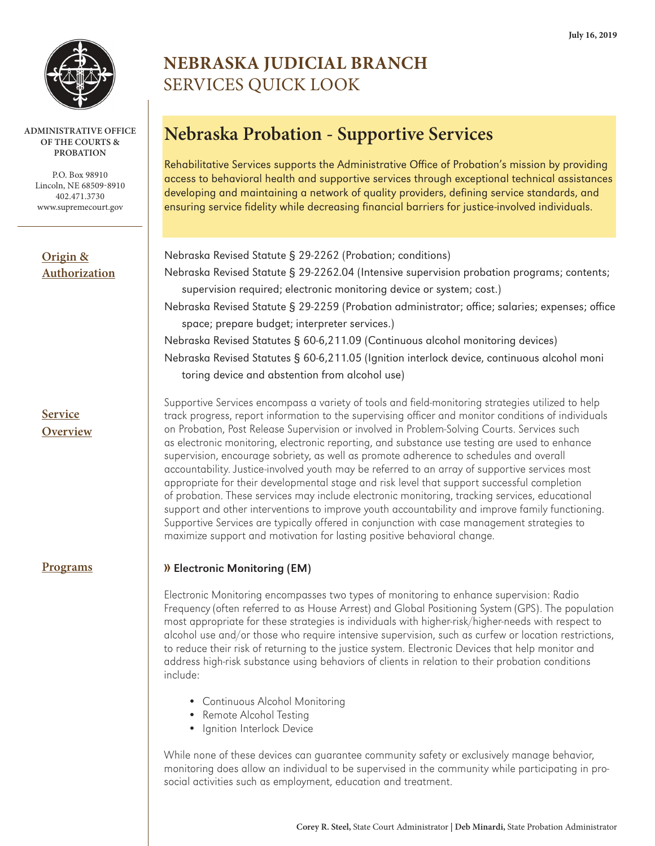

#### **ADMINISTRATIVE OFFICE OF THE COURTS & PROBATION**

P.O. Box 98910 Lincoln, NE 68509-8910 402.471.3730 www.supremecourt.gov

**Origin & Authorization**

**Service Overview**

# **NEBRASKA JUDICIAL BRANCH** SERVICES QUICK LOOK

# **Nebraska Probation - Supportive Services**

Rehabilitative Services supports the Administrative Office of Probation's mission by providing access to behavioral health and supportive services through exceptional technical assistances developing and maintaining a network of quality providers, defining service standards, and ensuring service fidelity while decreasing financial barriers for justice-involved individuals.

| Nebraska Revised Statute § 29-2262 (Probation; conditions)                                      |
|-------------------------------------------------------------------------------------------------|
| Nebraska Revised Statute § 29-2262.04 (Intensive supervision probation programs; contents;      |
| supervision required; electronic monitoring device or system; cost.)                            |
| Nebraska Revised Statute § 29-2259 (Probation administrator; office; salaries; expenses; office |
| space; prepare budget; interpreter services.)                                                   |
| Nebraska Revised Statutes § 60-6,211.09 (Continuous alcohol monitoring devices)                 |
| Nebraska Revised Statutes § 60-6,211.05 (Ignition interlock device, continuous alcohol moni     |
| toring device and abstention from alcohol use)                                                  |

Supportive Services encompass a variety of tools and field-monitoring strategies utilized to help track progress, report information to the supervising officer and monitor conditions of individuals on Probation, Post Release Supervision or involved in Problem-Solving Courts. Services such as electronic monitoring, electronic reporting, and substance use testing are used to enhance supervision, encourage sobriety, as well as promote adherence to schedules and overall accountability. Justice-involved youth may be referred to an array of supportive services most appropriate for their developmental stage and risk level that support successful completion of probation. These services may include electronic monitoring, tracking services, educational support and other interventions to improve youth accountability and improve family functioning. Supportive Services are typically offered in conjunction with case management strategies to maximize support and motivation for lasting positive behavioral change.

### **Programs WELE WELE Monitoring (EM)**

Electronic Monitoring encompasses two types of monitoring to enhance supervision: Radio Frequency (often referred to as House Arrest) and Global Positioning System (GPS). The population most appropriate for these strategies is individuals with higher-risk/higher-needs with respect to alcohol use and/or those who require intensive supervision, such as curfew or location restrictions, to reduce their risk of returning to the justice system. Electronic Devices that help monitor and address high-risk substance using behaviors of clients in relation to their probation conditions include:

- Continuous Alcohol Monitoring
- Remote Alcohol Testing
- Ignition Interlock Device

While none of these devices can guarantee community safety or exclusively manage behavior, monitoring does allow an individual to be supervised in the community while participating in prosocial activities such as employment, education and treatment.